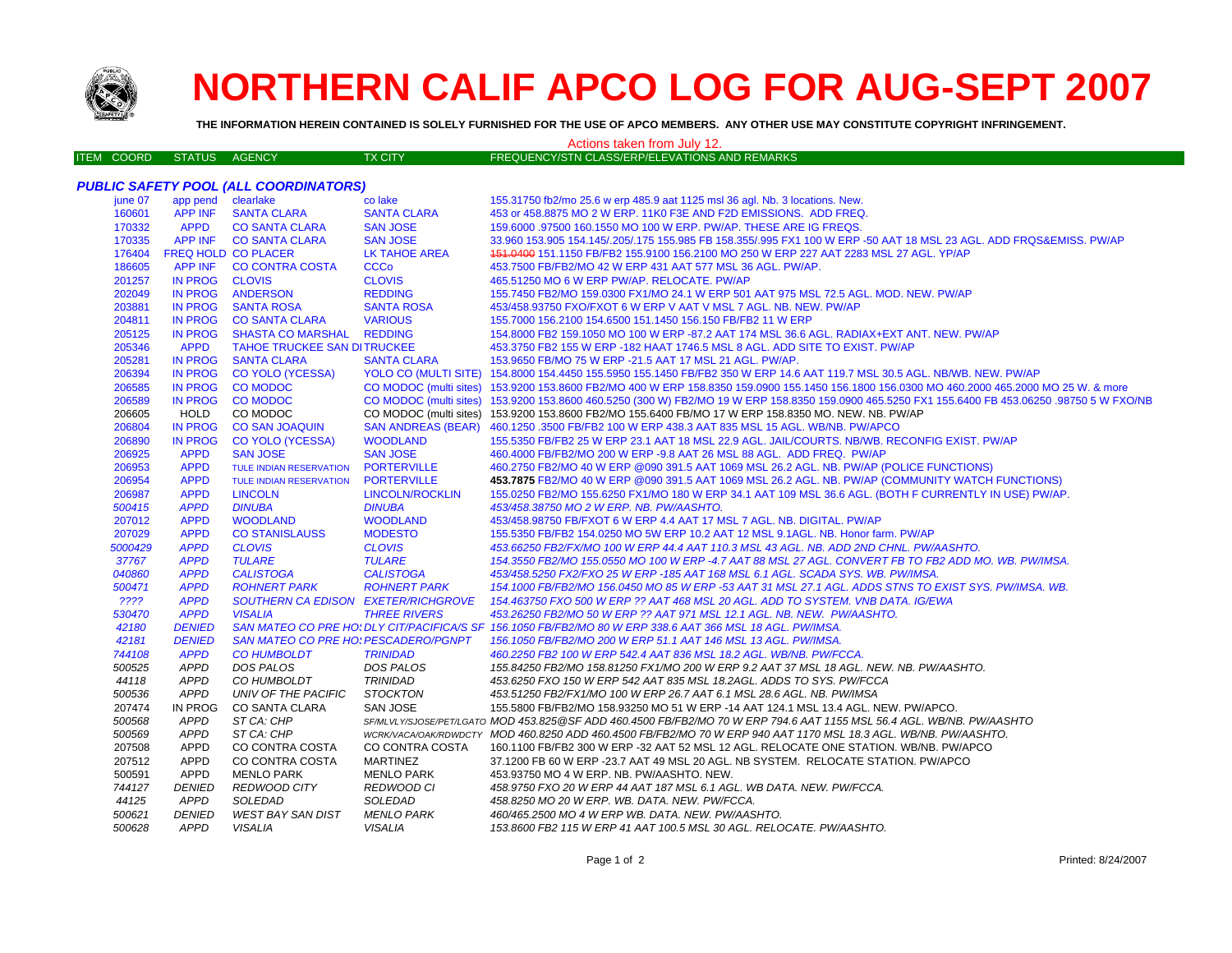

## **NORTHERN CALIF APCO LOG FOR AUG-SEPT 2007**

**THE INFORMATION HEREIN CONTAINED IS SOLELY FURNISHED FOR THE USE OF APCO MEMBERS. ANY OTHER USE MAY CONSTITUTE COPYRIGHT INFRINGEMENT.**

## Actions taken from July 12.

| <b>ITEM COORD</b> | STATUS AGENCY | TX CITY | FREQUENCY/STN CLASS/ERP/ELEVATIONS AND REMARKS |
|-------------------|---------------|---------|------------------------------------------------|
|                   |               |         |                                                |

|         |                    | <b>PUBLIC SAFETY POOL (ALL COORDINATORS)</b> |                           |                                                                                                                                                  |
|---------|--------------------|----------------------------------------------|---------------------------|--------------------------------------------------------------------------------------------------------------------------------------------------|
| june 07 | app pend clearlake |                                              | co lake                   | 155.31750 fb2/mo 25.6 w erp 485.9 aat 1125 msl 36 agl. Nb. 3 locations. New.                                                                     |
| 160601  | <b>APP INF</b>     | <b>SANTA CLARA</b>                           | <b>SANTA CLARA</b>        | 453 or 458.8875 MO 2 W ERP. 11K0 F3E AND F2D EMISSIONS. ADD FREQ.                                                                                |
| 170332  | <b>APPD</b>        | <b>CO SANTA CLARA</b>                        | <b>SAN JOSE</b>           | 159,6000 .97500 160.1550 MO 100 W ERP. PW/AP. THESE ARE IG FREQS.                                                                                |
| 170335  |                    | APP INF CO SANTA CLARA                       | <b>SAN JOSE</b>           | 33.960 153.905 154.145/.205/.175 155.985 FB 158.355/.995 FX1 100 W ERP -50 AAT 18 MSL 23 AGL. ADD FRQS&EMISS. PW/AP                              |
| 176404  |                    | <b>FREQ HOLD CO PLACER</b>                   | LK TAHOE AREA             | 451.0400 151.1150 FB/FB2 155.9100 156.2100 MO 250 W ERP 227 AAT 2283 MSL 27 AGL. YP/AP                                                           |
| 186605  | <b>APP INF</b>     | <b>CO CONTRA COSTA</b>                       | <b>CCCo</b>               | 453.7500 FB/FB2/MO 42 W ERP 431 AAT 577 MSL 36 AGL. PW/AP.                                                                                       |
| 201257  | <b>IN PROG</b>     | <b>CLOVIS</b>                                | <b>CLOVIS</b>             | 465.51250 MO 6 W ERP PW/AP. RELOCATE. PW/AP                                                                                                      |
| 202049  | <b>IN PROG</b>     | <b>ANDERSON</b>                              | <b>REDDING</b>            | 155.7450 FB2/MO 159.0300 FX1/MO 24.1 W ERP 501 AAT 975 MSL 72.5 AGL. MOD. NEW. PW/AP                                                             |
| 203881  | <b>IN PROG</b>     | <b>SANTA ROSA</b>                            | <b>SANTA ROSA</b>         | 453/458.93750 FXO/FXOT 6 W ERP V AAT V MSL 7 AGL. NB. NEW. PW/AP                                                                                 |
| 204811  | <b>IN PROG</b>     | <b>CO SANTA CLARA</b>                        | <b>VARIOUS</b>            | 155.7000 156.2100 154.6500 151.1450 156.150 FB/FB2 11 W ERP                                                                                      |
| 205125  | <b>IN PROG</b>     | <b>SHASTA CO MARSHAL</b>                     | <b>REDDING</b>            | 154.8000 FB2 159.1050 MO 100 W ERP -87.2 AAT 174 MSL 36.6 AGL. RADIAX+EXT ANT. NEW. PW/AP                                                        |
| 205346  | <b>APPD</b>        | <b>TAHOE TRUCKEE SAN DITRUCKEE</b>           |                           | 453.3750 FB2 155 W ERP -182 HAAT 1746.5 MSL 8 AGL. ADD SITE TO EXIST. PW/AP                                                                      |
| 205281  | <b>IN PROG</b>     | <b>SANTA CLARA</b>                           | <b>SANTA CLARA</b>        | 153.9650 FB/MO 75 W ERP -21.5 AAT 17 MSL 21 AGL. PW/AP.                                                                                          |
| 206394  | <b>IN PROG</b>     | <b>CO YOLO (YCESSA)</b>                      |                           | YOLO CO (MULTI SITE) 154.8000 154.4450 155.5950 155.1450 FB/FB2 350 W ERP 14.6 AAT 119.7 MSL 30.5 AGL. NB/WB. NEW. PW/AP                         |
| 206585  | <b>IN PROG</b>     | <b>CO MODOC</b>                              |                           | CO MODOC (multi sites) 153.9200 153.8600 FB2/MO 400 W ERP 158.8350 159.0900 155.1450 156.1800 156.0300 MO 460.2000 465.2000 MO 25 W. & more      |
| 206589  | <b>IN PROG</b>     | <b>CO MODOC</b>                              |                           | CO MODOC (multi sites) 153.9200 153.8600 460.5250 (300 W) FB2/MO 19 W ERP 158.8350 159.0900 465.5250 FX1 155.6400 FB 453.06250 .98750 5 W FXO/NB |
| 206605  | <b>HOLD</b>        | CO MODOC                                     |                           | CO MODOC (multi sites) 153.9200 153.8600 FB2/MO 155.6400 FB/MO 17 W ERP 158.8350 MO. NEW. NB. PW/AP                                              |
| 206804  | <b>IN PROG</b>     | <b>CO SAN JOAQUIN</b>                        | <b>SAN ANDREAS (BEAR)</b> | 460.1250 .3500 FB/FB2 100 W ERP 438.3 AAT 835 MSL 15 AGL. WB/NB. PW/APCO                                                                         |
| 206890  | <b>IN PROG</b>     | <b>CO YOLO (YCESSA)</b>                      | <b>WOODLAND</b>           | 155.5350 FB/FB2 25 W ERP 23.1 AAT 18 MSL 22.9 AGL. JAIL/COURTS, NB/WB, RECONFIG EXIST, PW/AP                                                     |
| 206925  | <b>APPD</b>        | <b>SAN JOSE</b>                              | <b>SAN JOSE</b>           | 460.4000 FB/FB2/MO 200 W ERP -9.8 AAT 26 MSL 88 AGL. ADD FREQ. PW/AP                                                                             |
| 206953  | <b>APPD</b>        | <b>TULE INDIAN RESERVATION</b>               | <b>PORTERVILLE</b>        | 460.2750 FB2/MO 40 W ERP @090 391.5 AAT 1069 MSL 26.2 AGL. NB. PW/AP (POLICE FUNCTIONS)                                                          |
| 206954  | <b>APPD</b>        | <b>TULE INDIAN RESERVATION</b>               | <b>PORTERVILLE</b>        | 453.7875 FB2/MO 40 W ERP @090 391.5 AAT 1069 MSL 26.2 AGL. NB. PW/AP (COMMUNITY WATCH FUNCTIONS)                                                 |
| 206987  | <b>APPD</b>        | <b>LINCOLN</b>                               | <b>LINCOLN/ROCKLIN</b>    | 155.0250 FB2/MO 155.6250 FX1/MO 180 W ERP 34.1 AAT 109 MSL 36.6 AGL. (BOTH F CURRENTLY IN USE) PW/AP.                                            |
| 500415  | <b>APPD</b>        | <b>DINUBA</b>                                | <b>DINUBA</b>             | 453/458.38750 MO 2 W ERP. NB. PW/AASHTO.                                                                                                         |
| 207012  | <b>APPD</b>        | <b>WOODLAND</b>                              | <b>WOODLAND</b>           | 453/458.98750 FB/FXOT 6 W ERP 4.4 AAT 17 MSL 7 AGL, NB, DIGITAL, PW/AP                                                                           |
| 207029  | <b>APPD</b>        | <b>CO STANISLAUSS</b>                        | <b>MODESTO</b>            | 155.5350 FB/FB2 154.0250 MO 5W ERP 10.2 AAT 12 MSL 9.1AGL, NB, Honor farm, PW/AP                                                                 |
| 5000429 | <b>APPD</b>        | <b>CLOVIS</b>                                | <b>CLOVIS</b>             | 453,66250 FB2/FX/MO 100 W ERP 44.4 AAT 110.3 MSL 43 AGL. NB. ADD 2ND CHNL. PW/AASHTO.                                                            |
| 37767   | <b>APPD</b>        | <b>TULARE</b>                                | <b>TULARE</b>             | 154.3550 FB2/MO 155.0550 MO 100 W ERP -4.7 AAT 88 MSL 27 AGL. CONVERT FB TO FB2 ADD MO. WB. PW/IMSA.                                             |
| 040860  | <b>APPD</b>        | <b>CALISTOGA</b>                             | <b>CALISTOGA</b>          | 453/458.5250 FX2/FXO 25 W ERP -185 AAT 168 MSL 6.1 AGL. SCADA SYS. WB. PW/IMSA.                                                                  |
| 500471  | <b>APPD</b>        | <b>ROHNERT PARK</b>                          | <b>ROHNERT PARK</b>       | 154.1000 FB/FB2/MO 156.0450 MO 85 W ERP -53 AAT 31 MSL 27.1 AGL. ADDS STNS TO EXIST SYS. PW/IMSA. WB.                                            |
| ????    | <b>APPD</b>        | SOUTHERN CA EDISON EXETER/RICHGROVE          |                           | 154.463750 FXO 500 W ERP ?? AAT 468 MSL 20 AGL. ADD TO SYSTEM. VNB DATA. IG/EWA                                                                  |
| 530470  | <b>APPD</b>        | <b>VISALIA</b>                               | <b>THREE RIVERS</b>       | 453.26250 FB2/MO 50 W ERP ?? AAT 971 MSL 12.1 AGL. NB. NEW. PW/AASHTO.                                                                           |
| 42180   | <b>DENIED</b>      |                                              |                           | SAN MATEO CO PRE HO: DLY CIT/PACIFICA/S SF 156.1050 FB/FB2/MO 80 W ERP 338.6 AAT 366 MSL 18 AGL. PW/IMSA.                                        |
| 42181   | <b>DENIED</b>      | <b>SAN MATEO CO PRE HO: PESCADERO/PGNPT</b>  |                           | 156.1050 FB/FB2/MO 200 W ERP 51.1 AAT 146 MSL 13 AGL. PW/IMSA.                                                                                   |
| 744108  | <b>APPD</b>        | <b>CO HUMBOLDT</b>                           | <b>TRINIDAD</b>           | 460.2250 FB2 100 W ERP 542.4 AAT 836 MSL 18.2 AGL. WB/NB. PW/FCCA.                                                                               |
| 500525  | <b>APPD</b>        | DOS PALOS                                    | DOS PALOS                 | 155.84250 FB2/MO 158.81250 FX1/MO 200 W ERP 9.2 AAT 37 MSL 18 AGL. NEW. NB. PW/AASHTO.                                                           |
| 44118   | <b>APPD</b>        | CO HUMBOLDT                                  | <b>TRINIDAD</b>           | 453.6250 FXO 150 W ERP 542 AAT 835 MSL 18.2AGL. ADDS TO SYS. PW/FCCA                                                                             |
| 500536  | APPD               | UNIV OF THE PACIFIC                          | <b>STOCKTON</b>           | 453.51250 FB2/FX1/MO 100 W ERP 26.7 AAT 6.1 MSL 28.6 AGL. NB. PW/IMSA                                                                            |
| 207474  | <b>IN PROG</b>     | CO SANTA CLARA                               | SAN JOSE                  | 155.5800 FB/FB2/MO 158.93250 MO 51 W ERP -14 AAT 124.1 MSL 13.4 AGL. NEW. PW/APCO.                                                               |
| 500568  | <b>APPD</b>        | ST CA: CHP                                   |                           | SF/MLVLY/SJOSE/PET/LGATO MOD 453.825@SF ADD 460.4500 FB/FB2/MO 70 W ERP 794.6 AAT 1155 MSL 56.4 AGL. WB/NB. PW/AASHTO                            |
| 500569  | <b>APPD</b>        | ST CA: CHP                                   |                           | WCRK/VACA/OAK/RDWDCTY MOD 460.8250 ADD 460.4500 FB/FB2/MO 70 W ERP 940 AAT 1170 MSL 18.3 AGL, WB/NB, PW/AASHTO,                                  |
| 207508  | <b>APPD</b>        | CO CONTRA COSTA                              | CO CONTRA COSTA           | 160.1100 FB/FB2 300 W ERP -32 AAT 52 MSL 12 AGL. RELOCATE ONE STATION. WB/NB. PW/APCO                                                            |
| 207512  | <b>APPD</b>        | CO CONTRA COSTA                              | <b>MARTINEZ</b>           | 37.1200 FB 60 W ERP -23.7 AAT 49 MSL 20 AGL. NB SYSTEM. RELOCATE STATION. PW/APCO                                                                |
| 500591  | APPD               | <b>MENLO PARK</b>                            | <b>MENLO PARK</b>         | 453.93750 MO 4 W ERP. NB. PW/AASHTO. NEW.                                                                                                        |
| 744127  | <b>DENIED</b>      | <b>REDWOOD CITY</b>                          | REDWOOD CI                | 458.9750 FXO 20 W ERP 44 AAT 187 MSL 6.1 AGL. WB DATA. NEW. PW/FCCA.                                                                             |
| 44125   | APPD               | SOLEDAD                                      | SOLEDAD                   | 458.8250 MO 20 W ERP. WB. DATA. NEW. PW/FCCA.                                                                                                    |
| 500621  | <b>DENIED</b>      | <b>WEST BAY SAN DIST</b>                     | <b>MENLO PARK</b>         | 460/465.2500 MO 4 W ERP WB. DATA. NEW. PW/AASHTO.                                                                                                |
| 500628  | <b>APPD</b>        | VISALIA                                      | <b>VISALIA</b>            | 153.8600 FB2 115 W ERP 41 AAT 100.5 MSL 30 AGL. RELOCATE. PW/AASHTO.                                                                             |